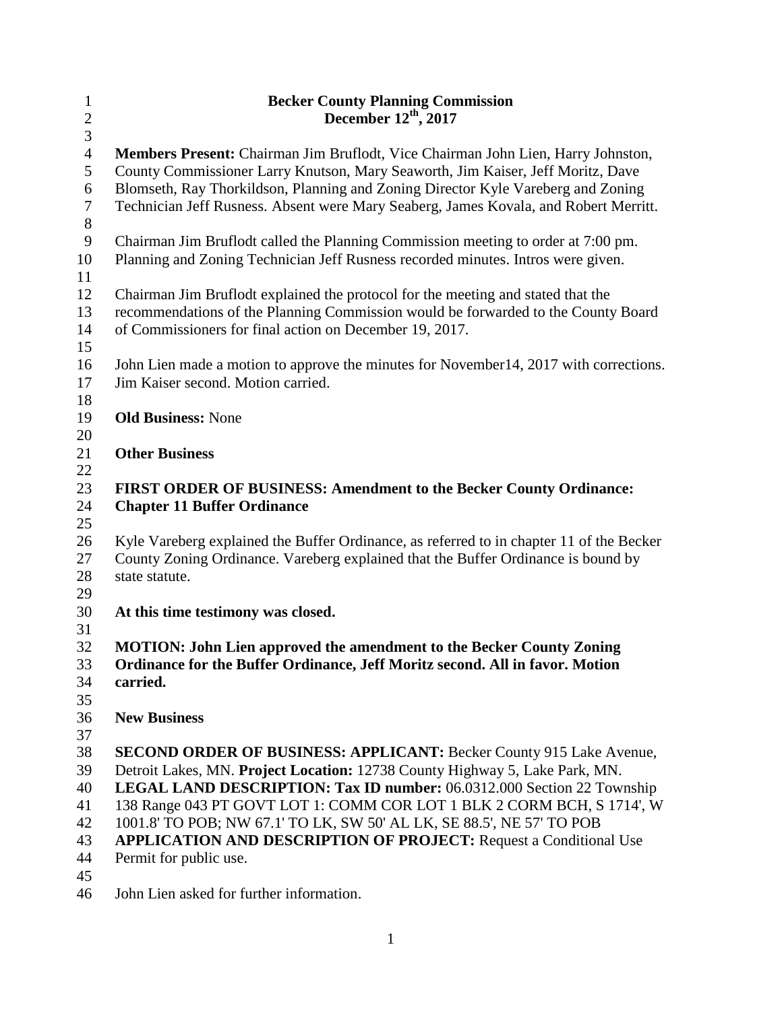| $\mathbf{1}$   | <b>Becker County Planning Commission</b>                                                 |  |  |
|----------------|------------------------------------------------------------------------------------------|--|--|
| $\overline{c}$ | December 12th, 2017                                                                      |  |  |
| 3              |                                                                                          |  |  |
| $\overline{4}$ | Members Present: Chairman Jim Bruflodt, Vice Chairman John Lien, Harry Johnston,         |  |  |
| 5              | County Commissioner Larry Knutson, Mary Seaworth, Jim Kaiser, Jeff Moritz, Dave          |  |  |
| 6              | Blomseth, Ray Thorkildson, Planning and Zoning Director Kyle Vareberg and Zoning         |  |  |
| $\overline{7}$ | Technician Jeff Rusness. Absent were Mary Seaberg, James Kovala, and Robert Merritt.     |  |  |
| $8\,$          |                                                                                          |  |  |
| $\overline{9}$ | Chairman Jim Bruflodt called the Planning Commission meeting to order at 7:00 pm.        |  |  |
| 10             | Planning and Zoning Technician Jeff Rusness recorded minutes. Intros were given.         |  |  |
| 11             |                                                                                          |  |  |
| 12             | Chairman Jim Bruflodt explained the protocol for the meeting and stated that the         |  |  |
| 13             | recommendations of the Planning Commission would be forwarded to the County Board        |  |  |
| 14             | of Commissioners for final action on December 19, 2017.                                  |  |  |
| 15             |                                                                                          |  |  |
| 16             | John Lien made a motion to approve the minutes for November14, 2017 with corrections.    |  |  |
| 17             | Jim Kaiser second. Motion carried.                                                       |  |  |
| 18             |                                                                                          |  |  |
| 19             | <b>Old Business: None</b>                                                                |  |  |
| 20             |                                                                                          |  |  |
| 21             | <b>Other Business</b>                                                                    |  |  |
| 22<br>23       | <b>FIRST ORDER OF BUSINESS: Amendment to the Becker County Ordinance:</b>                |  |  |
| 24             | <b>Chapter 11 Buffer Ordinance</b>                                                       |  |  |
| 25             |                                                                                          |  |  |
| 26             | Kyle Vareberg explained the Buffer Ordinance, as referred to in chapter 11 of the Becker |  |  |
| 27             | County Zoning Ordinance. Vareberg explained that the Buffer Ordinance is bound by        |  |  |
| 28             | state statute.                                                                           |  |  |
| 29             |                                                                                          |  |  |
| 30             | At this time testimony was closed.                                                       |  |  |
| 31             |                                                                                          |  |  |
| 32             | MOTION: John Lien approved the amendment to the Becker County Zoning                     |  |  |
| 33             | Ordinance for the Buffer Ordinance, Jeff Moritz second. All in favor. Motion             |  |  |
| 34             | carried.                                                                                 |  |  |
| 35             |                                                                                          |  |  |
| 36             | <b>New Business</b>                                                                      |  |  |
| 37             |                                                                                          |  |  |
| 38             | <b>SECOND ORDER OF BUSINESS: APPLICANT: Becker County 915 Lake Avenue,</b>               |  |  |
| 39             | Detroit Lakes, MN. Project Location: 12738 County Highway 5, Lake Park, MN.              |  |  |
| 40             | LEGAL LAND DESCRIPTION: Tax ID number: 06.0312.000 Section 22 Township                   |  |  |
| 41             | 138 Range 043 PT GOVT LOT 1: COMM COR LOT 1 BLK 2 CORM BCH, S 1714', W                   |  |  |
| 42             | 1001.8' TO POB; NW 67.1' TO LK, SW 50' AL LK, SE 88.5', NE 57' TO POB                    |  |  |
| 43             | <b>APPLICATION AND DESCRIPTION OF PROJECT: Request a Conditional Use</b>                 |  |  |
| 44             | Permit for public use.                                                                   |  |  |
| 45             |                                                                                          |  |  |

John Lien asked for further information.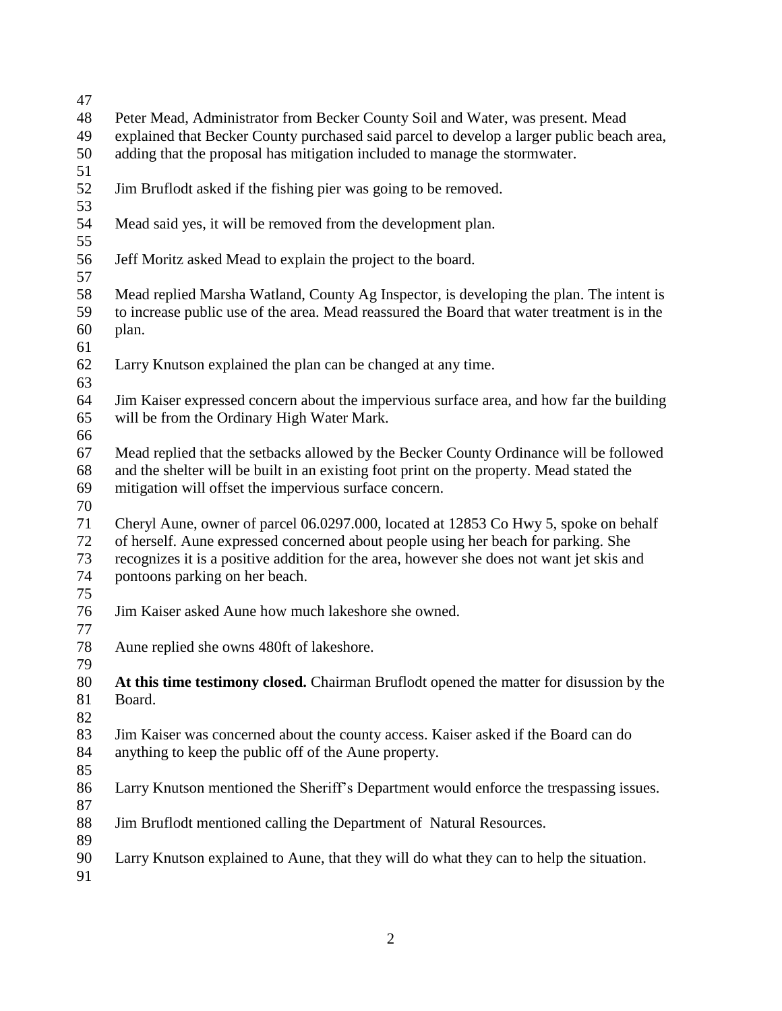| 47 |                                                                                             |  |  |
|----|---------------------------------------------------------------------------------------------|--|--|
| 48 | Peter Mead, Administrator from Becker County Soil and Water, was present. Mead              |  |  |
| 49 | explained that Becker County purchased said parcel to develop a larger public beach area,   |  |  |
| 50 | adding that the proposal has mitigation included to manage the stormwater.                  |  |  |
| 51 |                                                                                             |  |  |
| 52 | Jim Bruflodt asked if the fishing pier was going to be removed.                             |  |  |
| 53 |                                                                                             |  |  |
| 54 | Mead said yes, it will be removed from the development plan.                                |  |  |
| 55 |                                                                                             |  |  |
| 56 | Jeff Moritz asked Mead to explain the project to the board.                                 |  |  |
| 57 |                                                                                             |  |  |
| 58 | Mead replied Marsha Watland, County Ag Inspector, is developing the plan. The intent is     |  |  |
| 59 | to increase public use of the area. Mead reassured the Board that water treatment is in the |  |  |
| 60 | plan.                                                                                       |  |  |
| 61 |                                                                                             |  |  |
| 62 | Larry Knutson explained the plan can be changed at any time.                                |  |  |
| 63 |                                                                                             |  |  |
| 64 | Jim Kaiser expressed concern about the impervious surface area, and how far the building    |  |  |
| 65 | will be from the Ordinary High Water Mark.                                                  |  |  |
| 66 |                                                                                             |  |  |
| 67 | Mead replied that the setbacks allowed by the Becker County Ordinance will be followed      |  |  |
| 68 | and the shelter will be built in an existing foot print on the property. Mead stated the    |  |  |
| 69 | mitigation will offset the impervious surface concern.                                      |  |  |
| 70 |                                                                                             |  |  |
| 71 | Cheryl Aune, owner of parcel 06.0297.000, located at 12853 Co Hwy 5, spoke on behalf        |  |  |
| 72 | of herself. Aune expressed concerned about people using her beach for parking. She          |  |  |
| 73 | recognizes it is a positive addition for the area, however she does not want jet skis and   |  |  |
| 74 | pontoons parking on her beach.                                                              |  |  |
| 75 |                                                                                             |  |  |
| 76 | Jim Kaiser asked Aune how much lakeshore she owned.                                         |  |  |
| 77 |                                                                                             |  |  |
| 78 | Aune replied she owns 480ft of lakeshore.                                                   |  |  |
| 79 |                                                                                             |  |  |
| 80 | At this time testimony closed. Chairman Bruflodt opened the matter for disussion by the     |  |  |
| 81 | Board.                                                                                      |  |  |
| 82 |                                                                                             |  |  |
| 83 | Jim Kaiser was concerned about the county access. Kaiser asked if the Board can do          |  |  |
| 84 | anything to keep the public off of the Aune property.                                       |  |  |
| 85 |                                                                                             |  |  |
| 86 | Larry Knutson mentioned the Sheriff's Department would enforce the trespassing issues.      |  |  |
| 87 |                                                                                             |  |  |
| 88 | Jim Bruflodt mentioned calling the Department of Natural Resources.                         |  |  |
| 89 |                                                                                             |  |  |
| 90 | Larry Knutson explained to Aune, that they will do what they can to help the situation.     |  |  |
| 91 |                                                                                             |  |  |